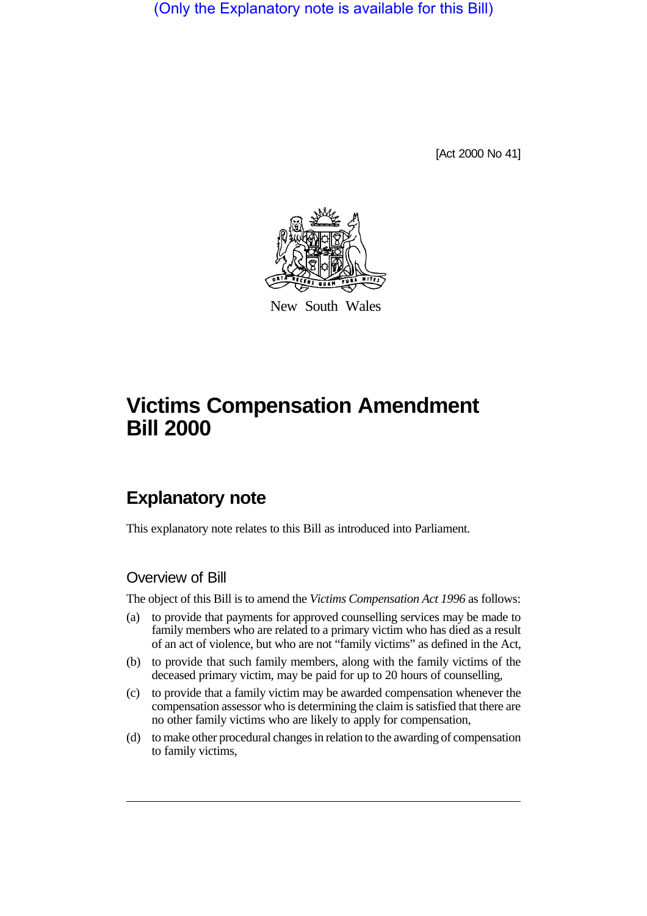(Only the Explanatory note is available for this Bill)

[Act 2000 No 41]



New South Wales

# **Victims Compensation Amendment Bill 2000**

# **Explanatory note**

This explanatory note relates to this Bill as introduced into Parliament.

## Overview of Bill

The object of this Bill is to amend the *Victims Compensation Act 1996* as follows:

- (a) to provide that payments for approved counselling services may be made to family members who are related to a primary victim who has died as a result of an act of violence, but who are not "family victims" as defined in the Act,
- (b) to provide that such family members, along with the family victims of the deceased primary victim, may be paid for up to 20 hours of counselling,
- (c) to provide that a family victim may be awarded compensation whenever the compensation assessor who is determining the claim is satisfied that there are no other family victims who are likely to apply for compensation,
- (d) to make other procedural changes in relation to the awarding of compensation to family victims,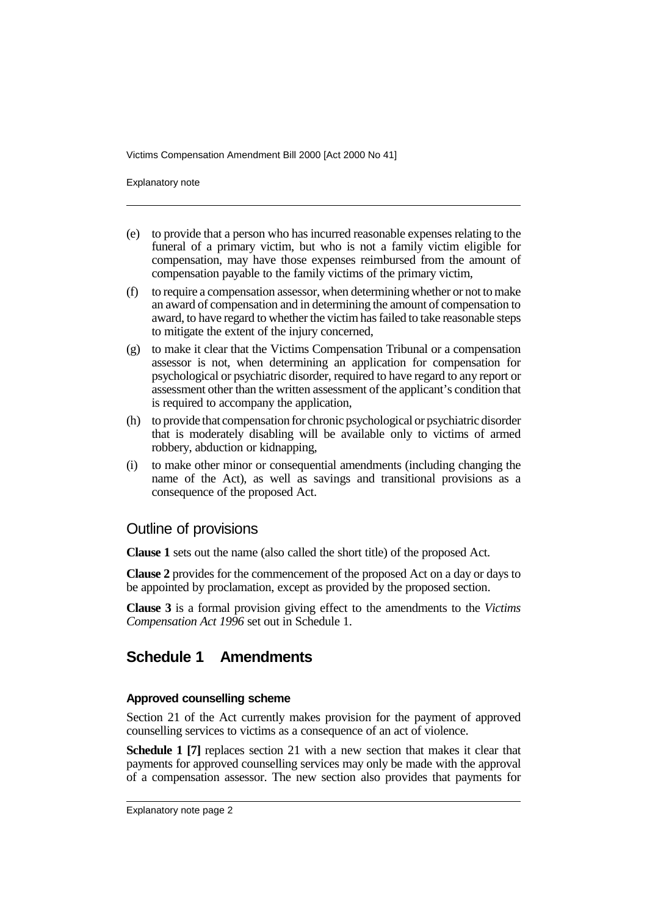Explanatory note

- (e) to provide that a person who has incurred reasonable expenses relating to the funeral of a primary victim, but who is not a family victim eligible for compensation, may have those expenses reimbursed from the amount of compensation payable to the family victims of the primary victim,
- (f) to require a compensation assessor, when determining whether or not to make an award of compensation and in determining the amount of compensation to award, to have regard to whether the victim has failed to take reasonable steps to mitigate the extent of the injury concerned,
- (g) to make it clear that the Victims Compensation Tribunal or a compensation assessor is not, when determining an application for compensation for psychological or psychiatric disorder, required to have regard to any report or assessment other than the written assessment of the applicant's condition that is required to accompany the application,
- (h) to provide that compensation for chronic psychological or psychiatric disorder that is moderately disabling will be available only to victims of armed robbery, abduction or kidnapping,
- (i) to make other minor or consequential amendments (including changing the name of the Act), as well as savings and transitional provisions as a consequence of the proposed Act.

## Outline of provisions

**Clause 1** sets out the name (also called the short title) of the proposed Act.

**Clause 2** provides for the commencement of the proposed Act on a day or days to be appointed by proclamation, except as provided by the proposed section.

**Clause 3** is a formal provision giving effect to the amendments to the *Victims Compensation Act 1996* set out in Schedule 1.

# **Schedule 1 Amendments**

#### **Approved counselling scheme**

Section 21 of the Act currently makes provision for the payment of approved counselling services to victims as a consequence of an act of violence.

**Schedule 1 [7]** replaces section 21 with a new section that makes it clear that payments for approved counselling services may only be made with the approval of a compensation assessor. The new section also provides that payments for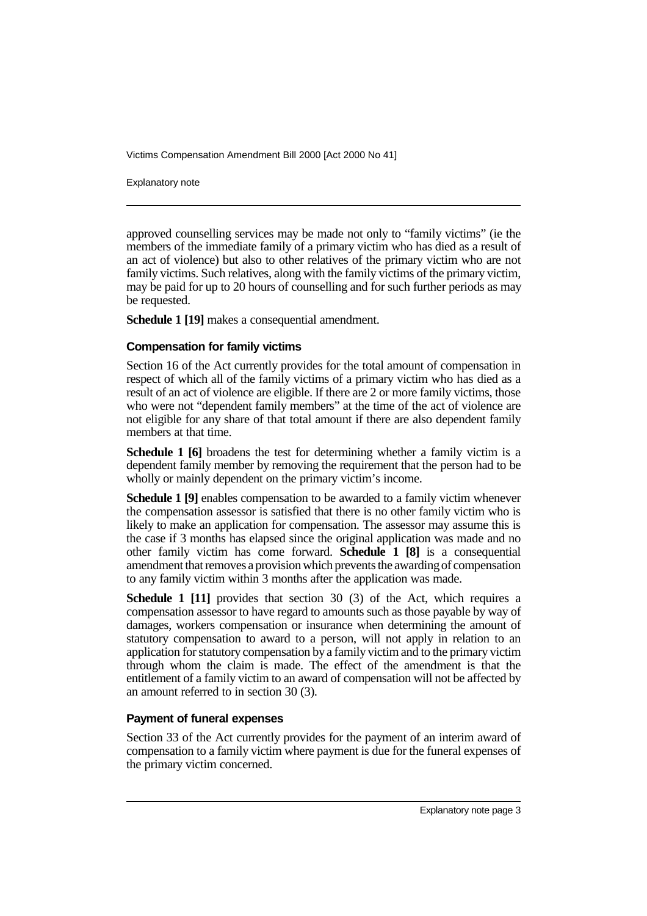Explanatory note

approved counselling services may be made not only to "family victims" (ie the members of the immediate family of a primary victim who has died as a result of an act of violence) but also to other relatives of the primary victim who are not family victims. Such relatives, along with the family victims of the primary victim, may be paid for up to 20 hours of counselling and for such further periods as may be requested.

**Schedule 1 [19]** makes a consequential amendment.

#### **Compensation for family victims**

Section 16 of the Act currently provides for the total amount of compensation in respect of which all of the family victims of a primary victim who has died as a result of an act of violence are eligible. If there are 2 or more family victims, those who were not "dependent family members" at the time of the act of violence are not eligible for any share of that total amount if there are also dependent family members at that time.

**Schedule 1 [6]** broadens the test for determining whether a family victim is a dependent family member by removing the requirement that the person had to be wholly or mainly dependent on the primary victim's income.

**Schedule 1 [9]** enables compensation to be awarded to a family victim whenever the compensation assessor is satisfied that there is no other family victim who is likely to make an application for compensation. The assessor may assume this is the case if 3 months has elapsed since the original application was made and no other family victim has come forward. **Schedule 1 [8]** is a consequential amendment that removes a provision which prevents the awarding of compensation to any family victim within 3 months after the application was made.

**Schedule 1 [11]** provides that section 30 (3) of the Act, which requires a compensation assessor to have regard to amounts such as those payable by way of damages, workers compensation or insurance when determining the amount of statutory compensation to award to a person, will not apply in relation to an application for statutory compensation by a family victim and to the primary victim through whom the claim is made. The effect of the amendment is that the entitlement of a family victim to an award of compensation will not be affected by an amount referred to in section 30 (3).

#### **Payment of funeral expenses**

Section 33 of the Act currently provides for the payment of an interim award of compensation to a family victim where payment is due for the funeral expenses of the primary victim concerned.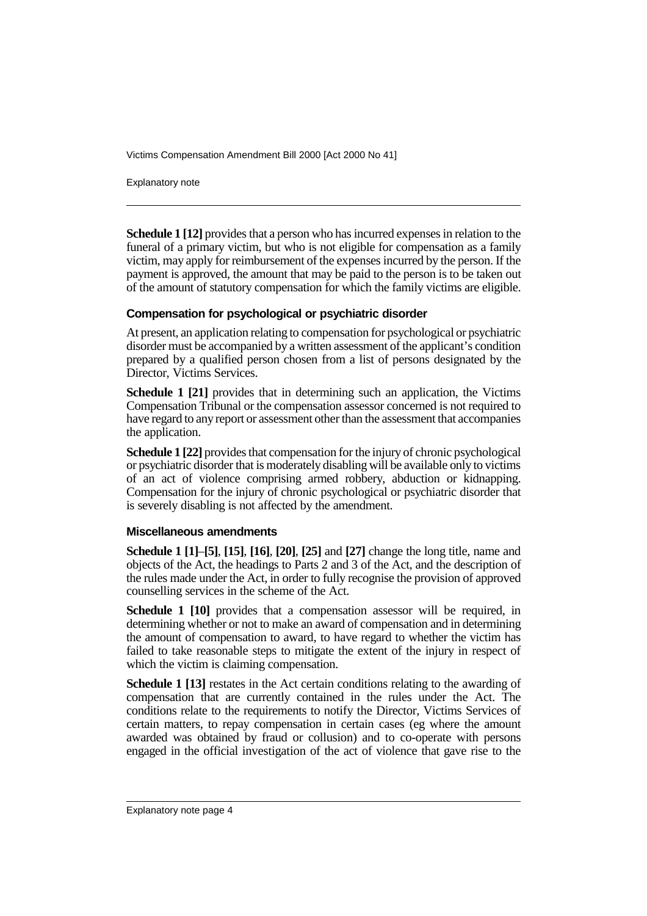Explanatory note

**Schedule 1 [12]** provides that a person who has incurred expenses in relation to the funeral of a primary victim, but who is not eligible for compensation as a family victim, may apply for reimbursement of the expenses incurred by the person. If the payment is approved, the amount that may be paid to the person is to be taken out of the amount of statutory compensation for which the family victims are eligible.

#### **Compensation for psychological or psychiatric disorder**

At present, an application relating to compensation for psychological or psychiatric disorder must be accompanied by a written assessment of the applicant's condition prepared by a qualified person chosen from a list of persons designated by the Director, Victims Services.

**Schedule 1 [21]** provides that in determining such an application, the Victims Compensation Tribunal or the compensation assessor concerned is not required to have regard to any report or assessment other than the assessment that accompanies the application.

**Schedule 1 [22]** provides that compensation for the injury of chronic psychological or psychiatric disorder that is moderately disabling will be available only to victims of an act of violence comprising armed robbery, abduction or kidnapping. Compensation for the injury of chronic psychological or psychiatric disorder that is severely disabling is not affected by the amendment.

#### **Miscellaneous amendments**

**Schedule 1 [1]**–**[5]**, **[15]**, **[16]**, **[20]**, **[25]** and **[27]** change the long title, name and objects of the Act, the headings to Parts 2 and 3 of the Act, and the description of the rules made under the Act, in order to fully recognise the provision of approved counselling services in the scheme of the Act.

**Schedule 1 [10]** provides that a compensation assessor will be required, in determining whether or not to make an award of compensation and in determining the amount of compensation to award, to have regard to whether the victim has failed to take reasonable steps to mitigate the extent of the injury in respect of which the victim is claiming compensation.

**Schedule 1 [13]** restates in the Act certain conditions relating to the awarding of compensation that are currently contained in the rules under the Act. The conditions relate to the requirements to notify the Director, Victims Services of certain matters, to repay compensation in certain cases (eg where the amount awarded was obtained by fraud or collusion) and to co-operate with persons engaged in the official investigation of the act of violence that gave rise to the